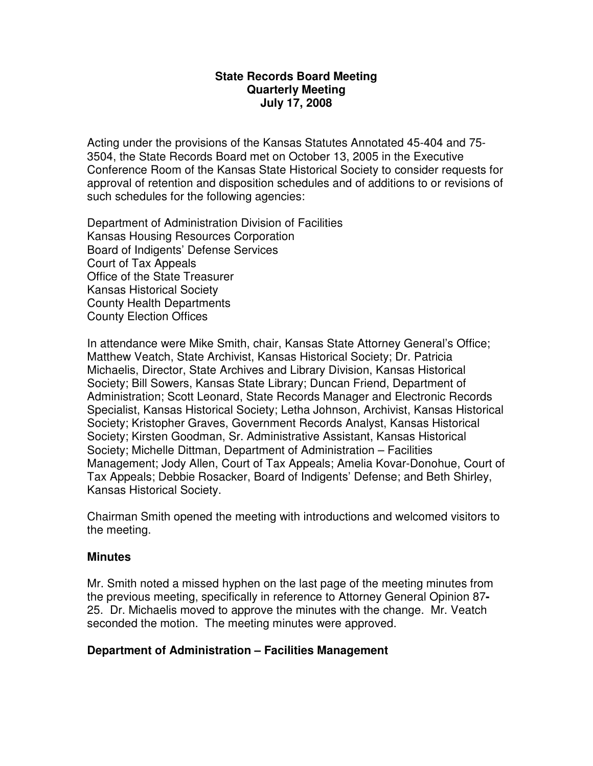#### **State Records Board Meeting Quarterly Meeting July 17, 2008**

Acting under the provisions of the Kansas Statutes Annotated 45-404 and 75- 3504, the State Records Board met on October 13, 2005 in the Executive Conference Room of the Kansas State Historical Society to consider requests for approval of retention and disposition schedules and of additions to or revisions of such schedules for the following agencies:

Department of Administration Division of Facilities Kansas Housing Resources Corporation Board of Indigents' Defense Services Court of Tax Appeals Office of the State Treasurer Kansas Historical Society County Health Departments County Election Offices

In attendance were Mike Smith, chair, Kansas State Attorney General's Office; Matthew Veatch, State Archivist, Kansas Historical Society; Dr. Patricia Michaelis, Director, State Archives and Library Division, Kansas Historical Society; Bill Sowers, Kansas State Library; Duncan Friend, Department of Administration; Scott Leonard, State Records Manager and Electronic Records Specialist, Kansas Historical Society; Letha Johnson, Archivist, Kansas Historical Society; Kristopher Graves, Government Records Analyst, Kansas Historical Society; Kirsten Goodman, Sr. Administrative Assistant, Kansas Historical Society; Michelle Dittman, Department of Administration – Facilities Management; Jody Allen, Court of Tax Appeals; Amelia Kovar-Donohue, Court of Tax Appeals; Debbie Rosacker, Board of Indigents' Defense; and Beth Shirley, Kansas Historical Society.

Chairman Smith opened the meeting with introductions and welcomed visitors to the meeting.

### **Minutes**

Mr. Smith noted a missed hyphen on the last page of the meeting minutes from the previous meeting, specifically in reference to Attorney General Opinion 87**-** 25. Dr. Michaelis moved to approve the minutes with the change. Mr. Veatch seconded the motion. The meeting minutes were approved.

### **Department of Administration – Facilities Management**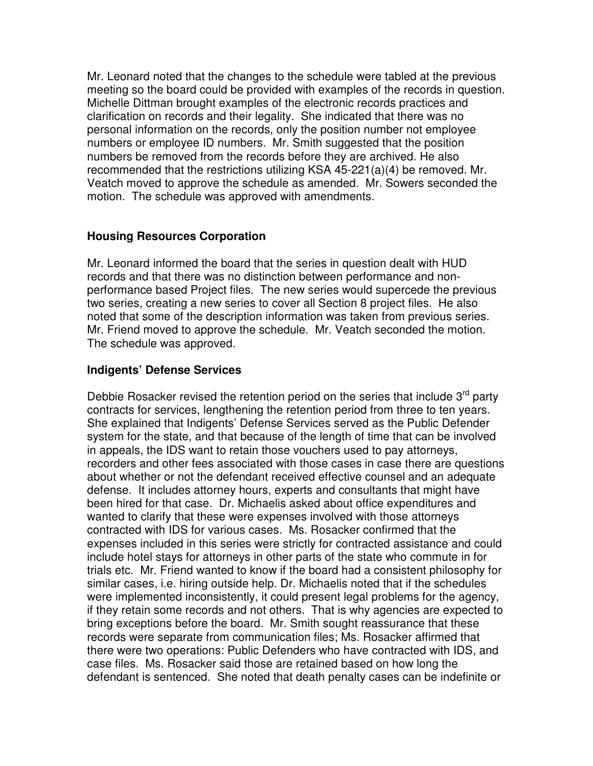Mr. Leonard noted that the changes to the schedule were tabled at the previous meeting so the board could be provided with examples of the records in question. Michelle Dittman brought examples of the electronic records practices and clarification on records and their legality. She indicated that there was no personal information on the records, only the position number not employee numbers or employee ID numbers. Mr. Smith suggested that the position numbers be removed from the records before they are archived. He also recommended that the restrictions utilizing KSA 45-221(a)(4) be removed. Mr. Veatch moved to approve the schedule as amended. Mr. Sowers seconded the motion. The schedule was approved with amendments.

## **Housing Resources Corporation**

Mr. Leonard informed the board that the series in question dealt with HUD records and that there was no distinction between performance and nonperformance based Project files. The new series would supercede the previous two series, creating a new series to cover all Section 8 project files. He also noted that some of the description information was taken from previous series. Mr. Friend moved to approve the schedule. Mr. Veatch seconded the motion. The schedule was approved.

# **Indigents' Defense Services**

Debbie Rosacker revised the retention period on the series that include  $3<sup>rd</sup>$  party contracts for services, lengthening the retention period from three to ten years. She explained that Indigents' Defense Services served as the Public Defender system for the state, and that because of the length of time that can be involved in appeals, the IDS want to retain those vouchers used to pay attorneys, recorders and other fees associated with those cases in case there are questions about whether or not the defendant received effective counsel and an adequate defense. It includes attorney hours, experts and consultants that might have been hired for that case. Dr. Michaelis asked about office expenditures and wanted to clarify that these were expenses involved with those attorneys contracted with IDS for various cases. Ms. Rosacker confirmed that the expenses included in this series were strictly for contracted assistance and could include hotel stays for attorneys in other parts of the state who commute in for trials etc. Mr. Friend wanted to know if the board had a consistent philosophy for similar cases, i.e. hiring outside help. Dr. Michaelis noted that if the schedules were implemented inconsistently, it could present legal problems for the agency, if they retain some records and not others. That is why agencies are expected to bring exceptions before the board. Mr. Smith sought reassurance that these records were separate from communication files; Ms. Rosacker affirmed that there were two operations: Public Defenders who have contracted with IDS, and case files. Ms. Rosacker said those are retained based on how long the defendant is sentenced. She noted that death penalty cases can be indefinite or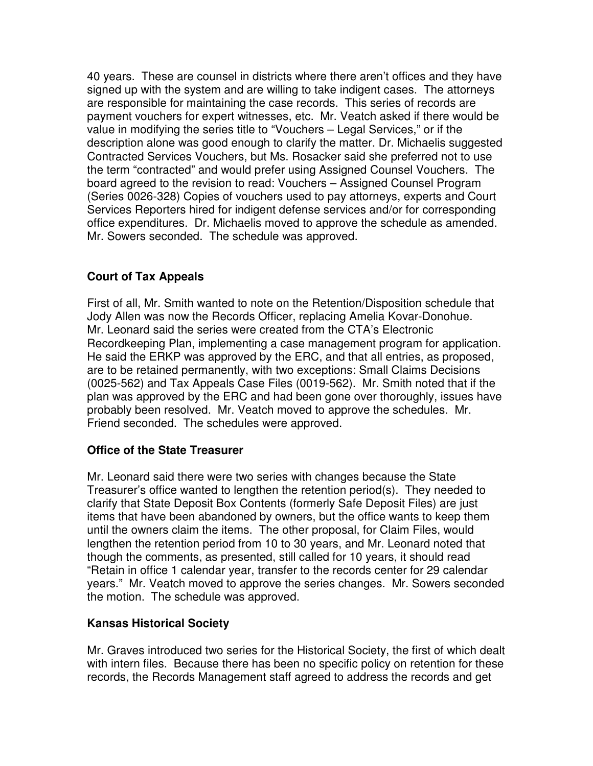40 years. These are counsel in districts where there aren't offices and they have signed up with the system and are willing to take indigent cases. The attorneys are responsible for maintaining the case records. This series of records are payment vouchers for expert witnesses, etc. Mr. Veatch asked if there would be value in modifying the series title to "Vouchers – Legal Services," or if the description alone was good enough to clarify the matter. Dr. Michaelis suggested Contracted Services Vouchers, but Ms. Rosacker said she preferred not to use the term "contracted" and would prefer using Assigned Counsel Vouchers. The board agreed to the revision to read: Vouchers – Assigned Counsel Program (Series 0026-328) Copies of vouchers used to pay attorneys, experts and Court Services Reporters hired for indigent defense services and/or for corresponding office expenditures. Dr. Michaelis moved to approve the schedule as amended. Mr. Sowers seconded. The schedule was approved.

## **Court of Tax Appeals**

First of all, Mr. Smith wanted to note on the Retention/Disposition schedule that Jody Allen was now the Records Officer, replacing Amelia Kovar-Donohue. Mr. Leonard said the series were created from the CTA's Electronic Recordkeeping Plan, implementing a case management program for application. He said the ERKP was approved by the ERC, and that all entries, as proposed, are to be retained permanently, with two exceptions: Small Claims Decisions (0025-562) and Tax Appeals Case Files (0019-562). Mr. Smith noted that if the plan was approved by the ERC and had been gone over thoroughly, issues have probably been resolved. Mr. Veatch moved to approve the schedules. Mr. Friend seconded. The schedules were approved.

## **Office of the State Treasurer**

Mr. Leonard said there were two series with changes because the State Treasurer's office wanted to lengthen the retention period(s). They needed to clarify that State Deposit Box Contents (formerly Safe Deposit Files) are just items that have been abandoned by owners, but the office wants to keep them until the owners claim the items. The other proposal, for Claim Files, would lengthen the retention period from 10 to 30 years, and Mr. Leonard noted that though the comments, as presented, still called for 10 years, it should read "Retain in office 1 calendar year, transfer to the records center for 29 calendar years." Mr. Veatch moved to approve the series changes. Mr. Sowers seconded the motion. The schedule was approved.

### **Kansas Historical Society**

Mr. Graves introduced two series for the Historical Society, the first of which dealt with intern files. Because there has been no specific policy on retention for these records, the Records Management staff agreed to address the records and get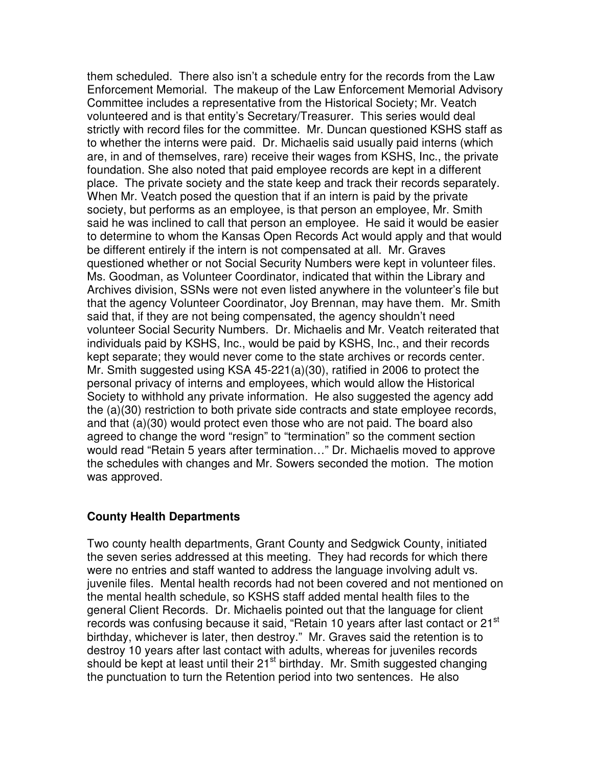them scheduled. There also isn't a schedule entry for the records from the Law Enforcement Memorial. The makeup of the Law Enforcement Memorial Advisory Committee includes a representative from the Historical Society; Mr. Veatch volunteered and is that entity's Secretary/Treasurer. This series would deal strictly with record files for the committee. Mr. Duncan questioned KSHS staff as to whether the interns were paid. Dr. Michaelis said usually paid interns (which are, in and of themselves, rare) receive their wages from KSHS, Inc., the private foundation. She also noted that paid employee records are kept in a different place. The private society and the state keep and track their records separately. When Mr. Veatch posed the question that if an intern is paid by the private society, but performs as an employee, is that person an employee, Mr. Smith said he was inclined to call that person an employee. He said it would be easier to determine to whom the Kansas Open Records Act would apply and that would be different entirely if the intern is not compensated at all. Mr. Graves questioned whether or not Social Security Numbers were kept in volunteer files. Ms. Goodman, as Volunteer Coordinator, indicated that within the Library and Archives division, SSNs were not even listed anywhere in the volunteer's file but that the agency Volunteer Coordinator, Joy Brennan, may have them. Mr. Smith said that, if they are not being compensated, the agency shouldn't need volunteer Social Security Numbers. Dr. Michaelis and Mr. Veatch reiterated that individuals paid by KSHS, Inc., would be paid by KSHS, Inc., and their records kept separate; they would never come to the state archives or records center. Mr. Smith suggested using KSA 45-221(a)(30), ratified in 2006 to protect the personal privacy of interns and employees, which would allow the Historical Society to withhold any private information. He also suggested the agency add the (a)(30) restriction to both private side contracts and state employee records, and that (a)(30) would protect even those who are not paid. The board also agreed to change the word "resign" to "termination" so the comment section would read "Retain 5 years after termination…" Dr. Michaelis moved to approve the schedules with changes and Mr. Sowers seconded the motion. The motion was approved.

### **County Health Departments**

Two county health departments, Grant County and Sedgwick County, initiated the seven series addressed at this meeting. They had records for which there were no entries and staff wanted to address the language involving adult vs. juvenile files. Mental health records had not been covered and not mentioned on the mental health schedule, so KSHS staff added mental health files to the general Client Records. Dr. Michaelis pointed out that the language for client records was confusing because it said, "Retain 10 years after last contact or 21<sup>st</sup> birthday, whichever is later, then destroy." Mr. Graves said the retention is to destroy 10 years after last contact with adults, whereas for juveniles records should be kept at least until their 21<sup>st</sup> birthday. Mr. Smith suggested changing the punctuation to turn the Retention period into two sentences. He also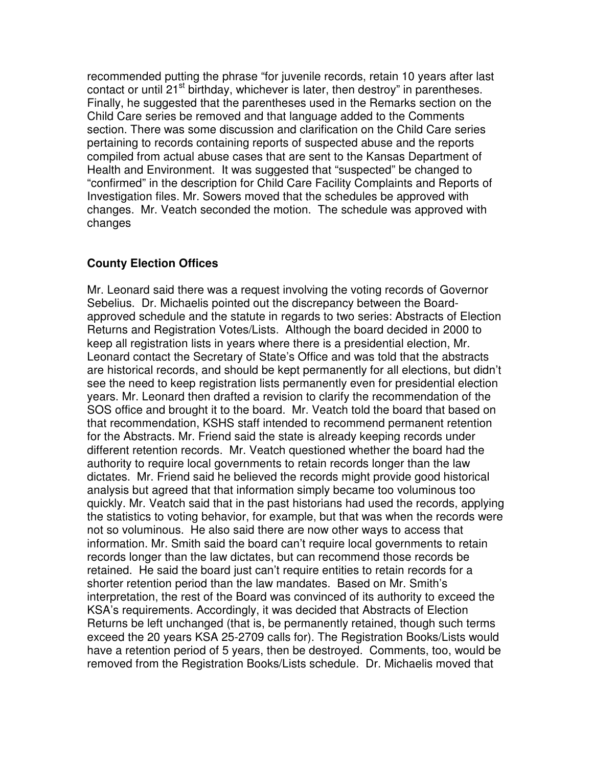recommended putting the phrase "for juvenile records, retain 10 years after last contact or until 21<sup>st</sup> birthday, whichever is later, then destroy" in parentheses. Finally, he suggested that the parentheses used in the Remarks section on the Child Care series be removed and that language added to the Comments section. There was some discussion and clarification on the Child Care series pertaining to records containing reports of suspected abuse and the reports compiled from actual abuse cases that are sent to the Kansas Department of Health and Environment. It was suggested that "suspected" be changed to "confirmed" in the description for Child Care Facility Complaints and Reports of Investigation files. Mr. Sowers moved that the schedules be approved with changes. Mr. Veatch seconded the motion. The schedule was approved with changes

# **County Election Offices**

Mr. Leonard said there was a request involving the voting records of Governor Sebelius. Dr. Michaelis pointed out the discrepancy between the Boardapproved schedule and the statute in regards to two series: Abstracts of Election Returns and Registration Votes/Lists. Although the board decided in 2000 to keep all registration lists in years where there is a presidential election, Mr. Leonard contact the Secretary of State's Office and was told that the abstracts are historical records, and should be kept permanently for all elections, but didn't see the need to keep registration lists permanently even for presidential election years. Mr. Leonard then drafted a revision to clarify the recommendation of the SOS office and brought it to the board. Mr. Veatch told the board that based on that recommendation, KSHS staff intended to recommend permanent retention for the Abstracts. Mr. Friend said the state is already keeping records under different retention records. Mr. Veatch questioned whether the board had the authority to require local governments to retain records longer than the law dictates. Mr. Friend said he believed the records might provide good historical analysis but agreed that that information simply became too voluminous too quickly. Mr. Veatch said that in the past historians had used the records, applying the statistics to voting behavior, for example, but that was when the records were not so voluminous. He also said there are now other ways to access that information. Mr. Smith said the board can't require local governments to retain records longer than the law dictates, but can recommend those records be retained. He said the board just can't require entities to retain records for a shorter retention period than the law mandates. Based on Mr. Smith's interpretation, the rest of the Board was convinced of its authority to exceed the KSA's requirements. Accordingly, it was decided that Abstracts of Election Returns be left unchanged (that is, be permanently retained, though such terms exceed the 20 years KSA 25-2709 calls for). The Registration Books/Lists would have a retention period of 5 years, then be destroyed. Comments, too, would be removed from the Registration Books/Lists schedule. Dr. Michaelis moved that